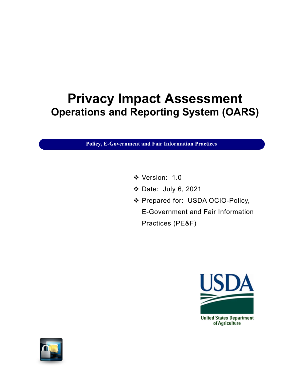# Privacy Impact Assessment Operations and Reporting System (OARS)

Policy, E-Government and Fair Information Practices

- Version: 1.0
- Date: July 6, 2021
- Prepared for: USDA OCIO-Policy, E-Government and Fair Information Practices (PE&F)



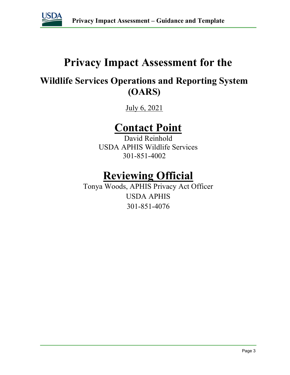

# Privacy Impact Assessment for the

# Wildlife Services Operations and Reporting System (OARS)

July 6, 2021

# Contact Point

David Reinhold USDA APHIS Wildlife Services 301-851-4002

# Reviewing Official

Tonya Woods, APHIS Privacy Act Officer USDA APHIS 301-851-4076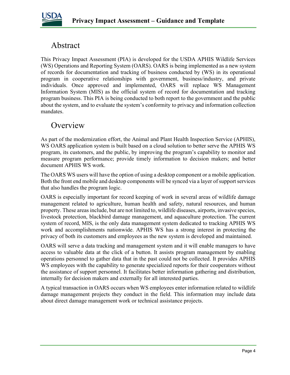

# Abstract

This Privacy Impact Assessment (PIA) is developed for the USDA APHIS Wildlife Services (WS) Operations and Reporting System (OARS). OARS is being implemented as a new system of records for documentation and tracking of business conducted by (WS) in its operational program in cooperative relationships with government, business/industry, and private individuals. Once approved and implemented, OARS will replace WS Management Information System (MIS) as the official system of record for documentation and tracking program business. This PIA is being conducted to both report to the government and the public about the system, and to evaluate the system's conformity to privacy and information collection mandates.

### **Overview**

As part of the modernization effort, the Animal and Plant Health Inspection Service (APHIS), WS OARS application system is built based on a cloud solution to better serve the APHIS WS program, its customers, and the public, by improving the program's capability to monitor and measure program performance; provide timely information to decision makers; and better document APHIS WS work.

The OARS WS users will have the option of using a desktop component or a mobile application. Both the front end mobile and desktop components will be synced via a layer of support services that also handles the program logic.

OARS is especially important for record keeping of work in several areas of wildlife damage management related to agriculture, human health and safety, natural resources, and human property. These areas include, but are not limited to, wildlife diseases, airports, invasive species, livestock protection, blackbird damage management, and aquaculture protection. The current system of record, MIS, is the only data management system dedicated to tracking APHIS WS work and accomplishments nationwide. APHIS WS has a strong interest in protecting the privacy of both its customers and employees as the new system is developed and maintained.

OARS will serve a data tracking and management system and it will enable managers to have access to valuable data at the click of a button. It assists program management by enabling operations personnel to gather data that in the past could not be collected. It provides APHIS WS employees with the capability to generate specialized reports for their cooperators without the assistance of support personnel. It facilitates better information gathering and distribution, internally for decision makers and externally for all interested parties.

A typical transaction in OARS occurs when WS employees enter information related to wildlife damage management projects they conduct in the field. This information may include data about direct damage management work or technical assistance projects.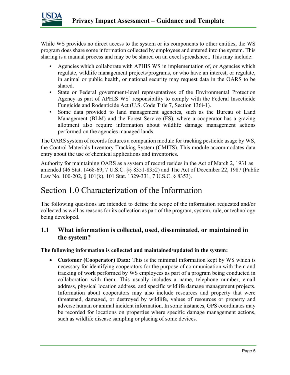

While WS provides no direct access to the system or its components to other entities, the WS program does share some information collected by employees and entered into the system. This sharing is a manual process and may be be shared on an excel spreadsheet. This may include:

- Agencies which collaborate with APHIS WS in implementation of, or Agencies which regulate, wildlife management projects/programs, or who have an interest, or regulate, in animal or public health, or national security may request data in the OARS to be shared.
- State or Federal government-level representatives of the Environmental Protection Agency as part of APHIS WS' responsibility to comply with the Federal Insecticide Fungicide and Rodenticide Act (U.S. Code Title 7, Section 136i-1).
- Some data provided to land management agencies, such as the Bureau of Land Management (BLM) and the Forest Service (FS), where a cooperator has a grazing allotment also require information about wildlife damage management actions performed on the agencies managed lands.

The OARS system of records features a companion module for tracking pesticide usage by WS, the Control Materials Inventory Tracking System (CMITS). This module accommodates data entry about the use of chemical applications and inventories.

Authority for maintaining OARS as a system of record resides in the Act of March 2, 1931 as amended (46 Stat. 1468-69; 7 U.S.C. §§ 8351-8352) and The Act of December 22, 1987 (Public Law No. 100-202, § 101(k), 101 Stat. 1329-331, 7 U.S.C. § 8353).

# Section 1.0 Characterization of the Information

The following questions are intended to define the scope of the information requested and/or collected as well as reasons for its collection as part of the program, system, rule, or technology being developed.

### 1.1 What information is collected, used, disseminated, or maintained in the system?

#### The following information is collected and maintained/updated in the system:

• Customer (Cooperator) Data: This is the minimal information kept by WS which is necessary for identifying cooperators for the purpose of communication with them and tracking of work performed by WS employees as part of a program being conducted in collaboration with them. This usually includes a name, telephone number, email address, physical location address, and specific wildlife damage management projects. Information about cooperators may also include resources and property that were threatened, damaged, or destroyed by wildlife, values of resources or property and adverse human or animal incident information. In some instances, GPS coordinates may be recorded for locations on properties where specific damage management actions, such as wildlife disease sampling or placing of some devices.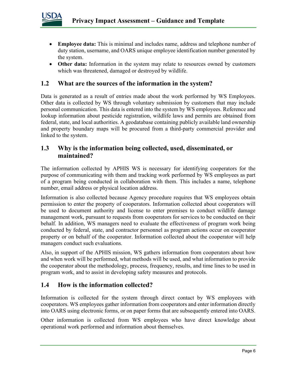

- Employee data: This is minimal and includes name, address and telephone number of duty station, username, and OARS unique employee identification number generated by the system.
- Other data: Information in the system may relate to resources owned by customers which was threatened, damaged or destroyed by wildlife.

#### 1.2 What are the sources of the information in the system?

Data is generated as a result of entries made about the work performed by WS Employees. Other data is collected by WS through voluntary submission by customers that may include personal communication. This data is entered into the system by WS employees. Reference and lookup information about pesticide registration, wildlife laws and permits are obtained from federal, state, and local authorities. A geodatabase containing publicly available land ownership and property boundary maps will be procured from a third-party commercial provider and linked to the system.

### 1.3 Why is the information being collected, used, disseminated, or maintained?

The information collected by APHIS WS is necessary for identifying cooperators for the purpose of communicating with them and tracking work performed by WS employees as part of a program being conducted in collaboration with them. This includes a name, telephone number, email address or physical location address.

Information is also collected because Agency procedure requires that WS employees obtain permission to enter the property of cooperators. Information collected about cooperators will be used to document authority and license to enter premises to conduct wildlife damage management work, pursuant to requests from cooperators for services to be conducted on their behalf. In addition, WS managers need to evaluate the effectiveness of program work being conducted by federal, state, and contractor personnel as program actions occur on cooperator property or on behalf of the cooperator. Information collected about the cooperator will help managers conduct such evaluations.

Also, in support of the APHIS mission, WS gathers information from cooperators about how and when work will be performed, what methods will be used, and what information to provide the cooperator about the methodology, process, frequency, results, and time lines to be used in program work, and to assist in developing safety measures and protocols.

#### 1.4 How is the information collected?

Information is collected for the system through direct contact by WS employees with cooperators. WS employees gather information from cooperators and enter information directly into OARS using electronic forms, or on paper forms that are subsequently entered into OARS.

Other information is collected from WS employees who have direct knowledge about operational work performed and information about themselves.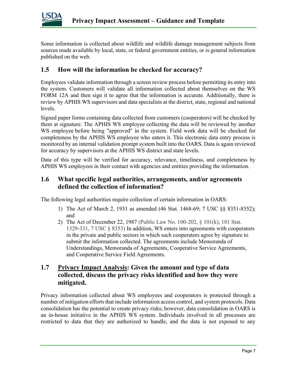

Some information is collected about wildlife and wildlife damage management subjects from sources made available by local, state, or federal government entities, or is general information published on the web.

### 1.5 How will the information be checked for accuracy?

Employees validate information through a screen review process before permitting its entry into the system. Customers will validate all information collected about themselves on the WS FORM 12A and then sign it to agree that the information is accurate. Additionally, there is review by APHIS WS supervisors and data specialists at the district, state, regional and national levels.

Signed paper forms containing data collected from customers (cooperators) will be checked by them at signature. The APHIS WS employee collecting the data will be reviewed by another WS employee before being "approved" in the system. Field work data will be checked for completeness by the APHIS WS employee who enters it. This electronic data entry process is monitored by an internal validation prompt system built into the OARS. Data is again reviewed for accuracy by supervisors at the APHIS WS district and state levels.

Data of this type will be verified for accuracy, relevance, timeliness, and completeness by APHIS WS employees in their contact with agencies and entities providing the information.

#### 1.6 What specific legal authorities, arrangements, and/or agreements defined the collection of information?

The following legal authorities require collection of certain information in OARS:

- 1) The Act of March 2, 1931 as amended (46 Stat. 1468-69; 7 USC §§ 8351-8352); and
- 2) The Act of December 22, 1987 (Public Law No. 100-202, § 101(k), 101 Stat. 1329-331, 7 USC § 8353) In addition, WS enters into agreements with cooperators in the private and public sectors in which such cooperators agree by signature to submit the information collected. The agreements include Memoranda of Understandings, Memoranda of Agreements, Cooperative Service Agreements, and Cooperative Service Field Agreements.

### 1.7 Privacy Impact Analysis: Given the amount and type of data collected, discuss the privacy risks identified and how they were mitigated.

Privacy information collected about WS employees and cooperators is protected through a number of mitigation efforts that include information access control, and system protocols. Data consolidation has the potential to create privacy risks; however, data consolidation in OARS is an in-house initiative in the APHIS WS system. Individuals involved in all processes are restricted to data that they are authorized to handle, and the data is not exposed to any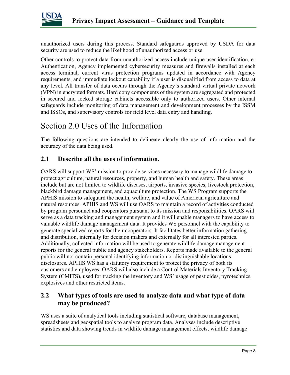

unauthorized users during this process. Standard safeguards approved by USDA for data security are used to reduce the likelihood of unauthorized access or use.

Other controls to protect data from unauthorized access include unique user identification, e-Authentication, Agency implemented cybersecurity measures and firewalls installed at each access terminal, current virus protection programs updated in accordance with Agency requirements, and immediate lockout capability if a user is disqualified from access to data at any level. All transfer of data occurs through the Agency's standard virtual private network (VPN) in encrypted formats. Hard copy components of the system are segregated and protected in secured and locked storage cabinets accessible only to authorized users. Other internal safeguards include monitoring of data management and development processes by the ISSM and ISSOs, and supervisory controls for field level data entry and handling.

## Section 2.0 Uses of the Information

The following questions are intended to delineate clearly the use of information and the accuracy of the data being used.

### 2.1 Describe all the uses of information.

OARS will support WS' mission to provide services necessary to manage wildlife damage to protect agriculture, natural resources, property, and human health and safety. These areas include but are not limited to wildlife diseases, airports, invasive species, livestock protection, blackbird damage management, and aquaculture protection. The WS Program supports the APHIS mission to safeguard the health, welfare, and value of American agriculture and natural resources. APHIS and WS will use OARS to maintain a record of activities conducted by program personnel and cooperators pursuant to its mission and responsibilities. OARS will serve as a data tracking and management system and it will enable managers to have access to valuable wildlife damage management data. It provides WS personnel with the capability to generate specialized reports for their cooperators. It facilitates better information gathering and distribution, internally for decision makers and externally for all interested parties. Additionally, collected information will be used to generate wildlife damage management reports for the general public and agency stakeholders. Reports made available to the general public will not contain personal identifying information or distinguishable locations disclosures. APHIS WS has a statutory requirement to protect the privacy of both its customers and employees. OARS will also include a Control Materials Inventory Tracking System (CMITS), used for tracking the inventory and WS' usage of pesticides, pyrotechnics, explosives and other restricted items.

### 2.2 What types of tools are used to analyze data and what type of data may be produced?

WS uses a suite of analytical tools including statistical software, database management, spreadsheets and geospatial tools to analyze program data. Analyses include descriptive statistics and data showing trends in wildlife damage management effects, wildlife damage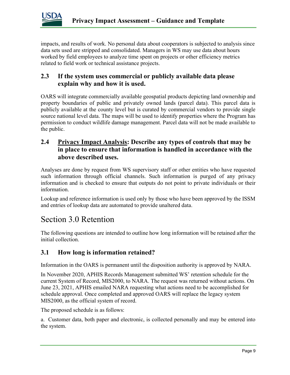

impacts, and results of work. No personal data about cooperators is subjected to analysis since data sets used are stripped and consolidated. Managers in WS may use data about hours worked by field employees to analyze time spent on projects or other efficiency metrics related to field work or technical assistance projects.

### 2.3 If the system uses commercial or publicly available data please explain why and how it is used.

OARS will integrate commercially available geospatial products depicting land ownership and property boundaries of public and privately owned lands (parcel data). This parcel data is publicly available at the county level but is curated by commercial vendors to provide single source national level data. The maps will be used to identify properties where the Program has permission to conduct wildlife damage management. Parcel data will not be made available to the public.

### 2.4 Privacy Impact Analysis: Describe any types of controls that may be in place to ensure that information is handled in accordance with the above described uses.

Analyses are done by request from WS supervisory staff or other entities who have requested such information through official channels. Such information is purged of any privacy information and is checked to ensure that outputs do not point to private individuals or their information.

Lookup and reference information is used only by those who have been approved by the ISSM and entries of lookup data are automated to provide unaltered data.

## Section 3.0 Retention

The following questions are intended to outline how long information will be retained after the initial collection.

### 3.1 How long is information retained?

Information in the OARS is permanent until the disposition authority is approved by NARA.

In November 2020, APHIS Records Management submitted WS' retention schedule for the current System of Record, MIS2000, to NARA. The request was returned without actions. On June 23, 2021, APHIS emailed NARA requesting what actions need to be accomplished for schedule approval. Once completed and approved OARS will replace the legacy system MIS2000, as the official system of record.

The proposed schedule is as follows:

a. Customer data, both paper and electronic, is collected personally and may be entered into the system.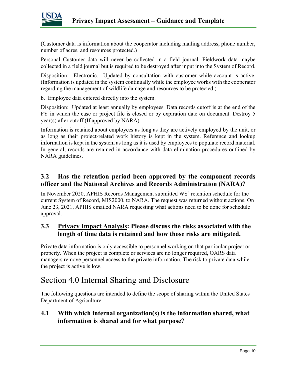

(Customer data is information about the cooperator including mailing address, phone number, number of acres, and resources protected.)

Personal Customer data will never be collected in a field journal. Fieldwork data maybe collected in a field journal but is required to be destroyed after input into the System of Record.

Disposition: Electronic. Updated by consultation with customer while account is active. (Information is updated in the system continually while the employee works with the cooperator regarding the management of wildlife damage and resources to be protected.)

b. Employee data entered directly into the system.

Disposition: Updated at least annually by employees. Data records cutoff is at the end of the FY in which the case or project file is closed or by expiration date on document. Destroy 5 year(s) after cutoff (If approved by NARA).

Information is retained about employees as long as they are actively employed by the unit, or as long as their project-related work history is kept in the system. Reference and lookup information is kept in the system as long as it is used by employees to populate record material. In general, records are retained in accordance with data elimination procedures outlined by NARA guidelines.

### 3.2 Has the retention period been approved by the component records officer and the National Archives and Records Administration (NARA)?

In November 2020, APHIS Records Management submitted WS' retention schedule for the current System of Record, MIS2000, to NARA. The request was returned without actions. On June 23, 2021, APHIS emailed NARA requesting what actions need to be done for schedule approval.

### 3.3 Privacy Impact Analysis: Please discuss the risks associated with the length of time data is retained and how those risks are mitigated.

Private data information is only accessible to personnel working on that particular project or property. When the project is complete or services are no longer required, OARS data managers remove personnel access to the private information. The risk to private data while the project is active is low.

## Section 4.0 Internal Sharing and Disclosure

The following questions are intended to define the scope of sharing within the United States Department of Agriculture.

### 4.1 With which internal organization(s) is the information shared, what information is shared and for what purpose?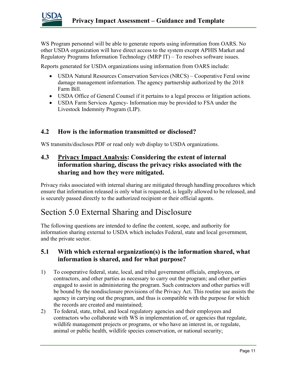

WS Program personnel will be able to generate reports using information from OARS. No other USDA organization will have direct access to the system except APHIS Market and Regulatory Programs Information Technology (MRP IT) – To resolves software issues.

Reports generated for USDA organizations using information from OARS include:

- USDA Natural Resources Conservation Services (NRCS) Cooperative Feral swine damage management information. The agency partnership authorized by the 2018 Farm Bill.
- USDA Office of General Counsel if it pertains to a legal process or litigation actions.
- USDA Farm Services Agency- Information may be provided to FSA under the Livestock Indemnity Program (LIP).

#### 4.2 How is the information transmitted or disclosed?

WS transmits/discloses PDF or read only web display to USDA organizations.

### 4.3 Privacy Impact Analysis: Considering the extent of internal information sharing, discuss the privacy risks associated with the sharing and how they were mitigated.

Privacy risks associated with internal sharing are mitigated through handling procedures which ensure that information released is only what is requested, is legally allowed to be released, and is securely passed directly to the authorized recipient or their official agents.

## Section 5.0 External Sharing and Disclosure

The following questions are intended to define the content, scope, and authority for information sharing external to USDA which includes Federal, state and local government, and the private sector.

#### 5.1 With which external organization(s) is the information shared, what information is shared, and for what purpose?

- 1) To cooperative federal, state, local, and tribal government officials, employees, or contractors, and other parties as necessary to carry out the program; and other parties engaged to assist in administering the program. Such contractors and other parties will be bound by the nondisclosure provisions of the Privacy Act. This routine use assists the agency in carrying out the program, and thus is compatible with the purpose for which the records are created and maintained;
- 2) To federal, state, tribal, and local regulatory agencies and their employees and contractors who collaborate with WS in implementation of, or agencies that regulate, wildlife management projects or programs, or who have an interest in, or regulate, animal or public health, wildlife species conservation, or national security;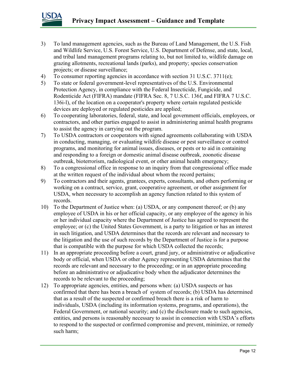

- 3) To land management agencies, such as the Bureau of Land Management, the U.S. Fish and Wildlife Service, U.S. Forest Service, U.S. Department of Defense, and state, local, and tribal land management programs relating to, but not limited to, wildlife damage on grazing allotments, recreational lands (parks), and property; species conservation projects; or disease surveillance;
- 4) To consumer reporting agencies in accordance with section 31 U.S.C. 3711(e);
- 5) To state or federal government-level representatives of the U.S. Environmental Protection Agency, in compliance with the Federal Insecticide, Fungicide, and Rodenticide Act (FIFRA) mandate (FIFRA Sec. 8, 7 U.S.C. 136f, and FIFRA 7 U.S.C. 136i-l), of the location on a cooperator's property where certain regulated pesticide devices are deployed or regulated pesticides are applied;
- 6) To cooperating laboratories, federal, state, and local government officials, employees, or contractors, and other parties engaged to assist in administering animal health programs to assist the agency in carrying out the program.
- 7) To USDA contractors or cooperators with signed agreements collaborating with USDA in conducting, managing, or evaluating wildlife disease or pest surveillance or control programs, and monitoring for animal issues, diseases, or pests or to aid in containing and responding to a foreign or domestic animal disease outbreak, zoonotic disease outbreak, bioterrorism, radiological event, or other animal health emergency;
- 8) To a congressional office in response to an inquiry from that congressional office made at the written request of the individual about whom the record pertains;
- 9) To contractors and their agents, grantees, experts, consultants, and others performing or working on a contract, service, grant, cooperative agreement, or other assignment for USDA, when necessary to accomplish an agency function related to this system of records.
- 10) To the Department of Justice when: (a) USDA, or any component thereof; or (b) any employee of USDA in his or her official capacity, or any employee of the agency in his or her individual capacity where the Department of Justice has agreed to represent the employee; or (c) the United States Government, is a party to litigation or has an interest in such litigation, and USDA determines that the records are relevant and necessary to the litigation and the use of such records by the Department of Justice is for a purpose that is compatible with the purpose for which USDA collected the records;
- 11) In an appropriate proceeding before a court, grand jury, or administrative or adjudicative body or official, when USDA or other Agency representing USDA determines that the records are relevant and necessary to the proceeding; or in an appropriate proceeding before an administrative or adjudicative body when the adjudicator determines the records to be relevant to the proceeding;
- 12) To appropriate agencies, entities, and persons when: (a) USDA suspects or has confirmed that there has been a breach of system of records; (b) USDA has determined that as a result of the suspected or confirmed breach there is a risk of harm to individuals, USDA (including its information systems, programs, and operations), the Federal Government, or national security; and (c) the disclosure made to such agencies, entities, and persons is reasonably necessary to assist in connection with USDA's efforts to respond to the suspected or confirmed compromise and prevent, minimize, or remedy such harm;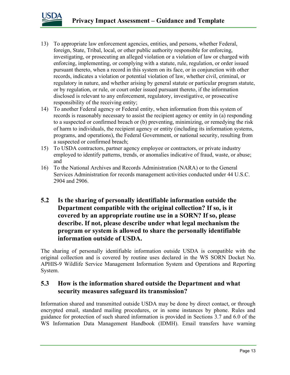

- 13) To appropriate law enforcement agencies, entities, and persons, whether Federal, foreign, State, Tribal, local, or other public authority responsible for enforcing, investigating, or prosecuting an alleged violation or a violation of law or charged with enforcing, implementing, or complying with a statute, rule, regulation, or order issued pursuant thereto, when a record in this system on its face, or in conjunction with other records, indicates a violation or potential violation of law, whether civil, criminal, or regulatory in nature, and whether arising by general statute or particular program statute, or by regulation, or rule, or court order issued pursuant thereto, if the information disclosed is relevant to any enforcement, regulatory, investigative, or prosecutive responsibility of the receiving entity;
- 14) To another Federal agency or Federal entity, when information from this system of records is reasonably necessary to assist the recipient agency or entity in (a) responding to a suspected or confirmed breach or (b) preventing, minimizing, or remedying the risk of harm to individuals, the recipient agency or entity (including its information systems, programs, and operations), the Federal Government, or national security, resulting from a suspected or confirmed breach;
- 15) To USDA contractors, partner agency employee or contractors, or private industry employed to identify patterns, trends, or anomalies indicative of fraud, waste, or abuse; and
- 16) To the National Archives and Records Administration (NARA) or to the General Services Administration for records management activities conducted under 44 U.S.C. 2904 and 2906.
- 5.2 Is the sharing of personally identifiable information outside the Department compatible with the original collection? If so, is it covered by an appropriate routine use in a SORN? If so, please describe. If not, please describe under what legal mechanism the program or system is allowed to share the personally identifiable information outside of USDA.

The sharing of personally identifiable information outside USDA is compatible with the original collection and is covered by routine uses declared in the WS SORN Docket No. APHIS-9 Wildlife Service Management Information System and Operations and Reporting System.

### 5.3 How is the information shared outside the Department and what security measures safeguard its transmission?

Information shared and transmitted outside USDA may be done by direct contact, or through encrypted email, standard mailing procedures, or in some instances by phone. Rules and guidance for protection of such shared information is provided in Sections 3.7 and 6.0 of the WS Information Data Management Handbook (IDMH). Email transfers have warning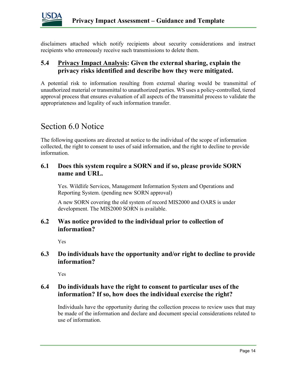

disclaimers attached which notify recipients about security considerations and instruct recipients who erroneously receive such transmissions to delete them.

#### 5.4 Privacy Impact Analysis: Given the external sharing, explain the privacy risks identified and describe how they were mitigated.

A potential risk to information resulting from external sharing would be transmittal of unauthorized material or transmittal to unauthorized parties. WS uses a policy-controlled, tiered approval process that ensures evaluation of all aspects of the transmittal process to validate the appropriateness and legality of such information transfer.

### Section 6.0 Notice

The following questions are directed at notice to the individual of the scope of information collected, the right to consent to uses of said information, and the right to decline to provide information.

#### 6.1 Does this system require a SORN and if so, please provide SORN name and URL.

Yes. Wildlife Services, Management Information System and Operations and Reporting System. (pending new SORN approval)

A new SORN covering the old system of record MIS2000 and OARS is under development. The MIS2000 SORN is available.

#### 6.2 Was notice provided to the individual prior to collection of information?

Yes

#### 6.3 Do individuals have the opportunity and/or right to decline to provide information?

Yes

### 6.4 Do individuals have the right to consent to particular uses of the information? If so, how does the individual exercise the right?

Individuals have the opportunity during the collection process to review uses that may be made of the information and declare and document special considerations related to use of information.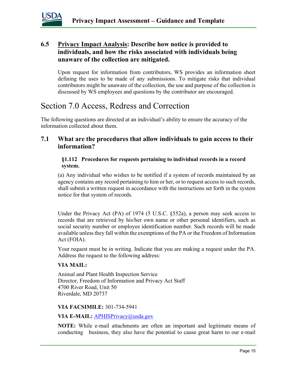

### 6.5 Privacy Impact Analysis: Describe how notice is provided to individuals, and how the risks associated with individuals being unaware of the collection are mitigated.

Upon request for information from contributors, WS provides an information sheet defining the uses to be made of any submissions. To mitigate risks that individual contributors might be unaware of the collection, the use and purpose of the collection is discussed by WS employees and questions by the contributor are encouraged.

# Section 7.0 Access, Redress and Correction

The following questions are directed at an individual's ability to ensure the accuracy of the information collected about them.

### 7.1 What are the procedures that allow individuals to gain access to their information?

#### §1.112 Procedures for requests pertaining to individual records in a record system.

(a) Any individual who wishes to be notified if a system of records maintained by an agency contains any record pertaining to him or her, or to request access to such records, shall submit a written request in accordance with the instructions set forth in the system notice for that system of records.

Under the Privacy Act (PA) of 1974 (5 U.S.C. §552a), a person may seek access to records that are retrieved by his/her own name or other personal identifiers, such as social security number or employee identification number. Such records will be made available unless they fall within the exemptions of the PA or the Freedom of Information Act (FOIA).

Your request must be in writing. Indicate that you are making a request under the PA. Address the request to the following address:

#### VIA MAIL:

Animal and Plant Health Inspection Service Director, Freedom of Information and Privacy Act Staff 4700 River Road, Unit 50 Riverdale, MD 20737

#### VIA FACSIMILE: 301-734-5941

#### VIA E-MAIL: **APHISPrivacy**@usda.gov

NOTE: While e-mail attachments are often an important and legitimate means of conducting business, they also have the potential to cause great harm to our e-mail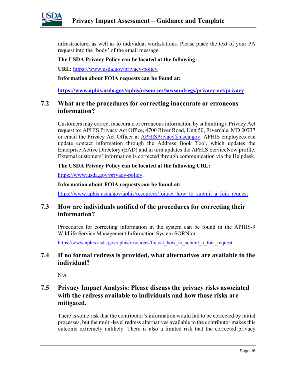

infrastructure, as well as to individual workstations. Please place the text of your PA request into the 'body' of the email message.

#### The USDA Privacy Policy can be located at the following:

URL: https://www.usda.gov/privacy-policy

Information about FOIA requests can be found at:

https://www.aphis.usda.gov/aphis/resources/lawsandregs/privacy-act/privacy

#### 7.2 What are the procedures for correcting inaccurate or erroneous information?

Customers may correct inaccurate or erroneous information by submitting a Privacy Act request to: APHIS Privacy Act Office, 4700 River Road, Unit 50, Riverdale, MD 20737 or email the Privacy Act Officer at APHISPrivacy@usda.gov. APHIS employees can update contact information through the Address Book Tool, which updates the Enterprise Active Directory (EAD) and in turn updates the APHIS ServiceNow profile. External customers' information is corrected through communication via the Helpdesk.

#### The USDA Privacy Policy can be located at the following URL:

https://www.usda.gov/privacy-policy.

#### Information about FOIA requests can be found at:

https://www.aphis.usda.gov/aphis/resources/foia/ct\_how\_to\_submit\_a\_foia\_request\_

#### 7.3 How are individuals notified of the procedures for correcting their information?

Procedures for correcting information in the system can be found in the APHIS-9 Wildlife Service Management Information System SORN or

https://www.aphis.usda.gov/aphis/resources/foia/ct\_how\_to\_submit\_a\_foia\_request

#### 7.4 If no formal redress is provided, what alternatives are available to the individual?

 $N/A$ 

### 7.5 Privacy Impact Analysis: Please discuss the privacy risks associated with the redress available to individuals and how those risks are mitigated.

There is some risk that the contributor's information would fail to be corrected by initial processes, but the multi-level redress alternatives available to the contributor makes this outcome extremely unlikely. There is also a limited risk that the corrected privacy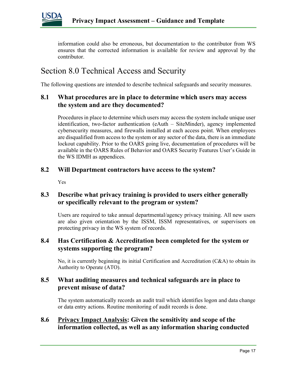

information could also be erroneous, but documentation to the contributor from WS ensures that the corrected information is available for review and approval by the contributor.

# Section 8.0 Technical Access and Security

The following questions are intended to describe technical safeguards and security measures.

#### 8.1 What procedures are in place to determine which users may access the system and are they documented?

Procedures in place to determine which users may access the system include unique user identification, two-factor authentication (eAuth – SiteMinder), agency implemented cybersecurity measures, and firewalls installed at each access point. When employees are disqualified from access to the system or any sector of the data, there is an immediate lockout capability. Prior to the OARS going live, documentation of procedures will be available in the OARS Rules of Behavior and OARS Security Features User's Guide in the WS IDMH as appendices.

#### 8.2 Will Department contractors have access to the system?

Yes

### 8.3 Describe what privacy training is provided to users either generally or specifically relevant to the program or system?

Users are required to take annual departmental/agency privacy training. All new users are also given orientation by the ISSM, ISSM representatives, or supervisors on protecting privacy in the WS system of records.

### 8.4 Has Certification & Accreditation been completed for the system or systems supporting the program?

No, it is currently beginning its initial Certification and Accreditation (C&A) to obtain its Authority to Operate (ATO).

#### 8.5 What auditing measures and technical safeguards are in place to prevent misuse of data?

The system automatically records an audit trail which identifies logon and data change or data entry actions. Routine monitoring of audit records is done.

### 8.6 Privacy Impact Analysis: Given the sensitivity and scope of the information collected, as well as any information sharing conducted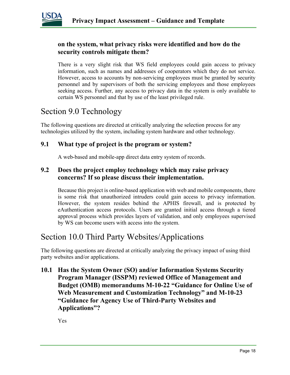

#### on the system, what privacy risks were identified and how do the security controls mitigate them?

There is a very slight risk that WS field employees could gain access to privacy information, such as names and addresses of cooperators which they do not service. However, access to accounts by non-servicing employees must be granted by security personnel and by supervisors of both the servicing employees and those employees seeking access. Further, any access to privacy data in the system is only available to certain WS personnel and that by use of the least privileged rule.

# Section 9.0 Technology

The following questions are directed at critically analyzing the selection process for any technologies utilized by the system, including system hardware and other technology.

### 9.1 What type of project is the program or system?

A web-based and mobile-app direct data entry system of records.

#### 9.2 Does the project employ technology which may raise privacy concerns? If so please discuss their implementation.

Because this project is online-based application with web and mobile components, there is some risk that unauthorized intruders could gain access to privacy information. However, the system resides behind the APHIS firewall, and is protected by eAuthentication access protocols. Users are granted initial access through a tiered approval process which provides layers of validation, and only employees supervised by WS can become users with access into the system.

## Section 10.0 Third Party Websites/Applications

The following questions are directed at critically analyzing the privacy impact of using third party websites and/or applications.

10.1 Has the System Owner (SO) and/or Information Systems Security Program Manager (ISSPM) reviewed Office of Management and Budget (OMB) memorandums M-10-22 "Guidance for Online Use of Web Measurement and Customization Technology" and M-10-23 "Guidance for Agency Use of Third-Party Websites and Applications"?

Yes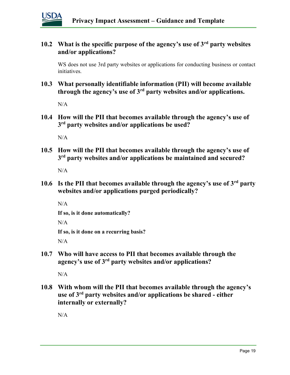

### 10.2 What is the specific purpose of the agency's use of  $3<sup>rd</sup>$  party websites and/or applications?

WS does not use 3rd party websites or applications for conducting business or contact initiatives.

10.3 What personally identifiable information (PII) will become available through the agency's use of  $3<sup>rd</sup>$  party websites and/or applications.

N/A

10.4 How will the PII that becomes available through the agency's use of 3<sup>rd</sup> party websites and/or applications be used?

 $N/A$ 

10.5 How will the PII that becomes available through the agency's use of 3<sup>rd</sup> party websites and/or applications be maintained and secured?

N/A

10.6 Is the PII that becomes available through the agency's use of  $3<sup>rd</sup>$  party websites and/or applications purged periodically?

N/A

```
If so, is it done automatically?
```
 $N/A$ 

If so, is it done on a recurring basis?

 $N/A$ 

10.7 Who will have access to PII that becomes available through the agency's use of 3rd party websites and/or applications?

 $N/A$ 

10.8 With whom will the PII that becomes available through the agency's use of  $3<sup>rd</sup>$  party websites and/or applications be shared - either internally or externally?

N/A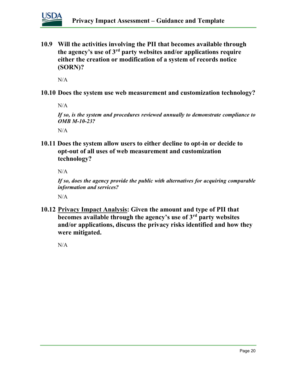

10.9 Will the activities involving the PII that becomes available through the agency's use of  $3<sup>rd</sup>$  party websites and/or applications require either the creation or modification of a system of records notice (SORN)?

N/A

10.10 Does the system use web measurement and customization technology?

N/A

If so, is the system and procedures reviewed annually to demonstrate compliance to **OMB M-10-23?** 

N/A

10.11 Does the system allow users to either decline to opt-in or decide to opt-out of all uses of web measurement and customization technology?

N/A

If so, does the agency provide the public with alternatives for acquiring comparable information and services?

 $N/A$ 

10.12 Privacy Impact Analysis: Given the amount and type of PII that becomes available through the agency's use of 3rd party websites and/or applications, discuss the privacy risks identified and how they were mitigated.

N/A